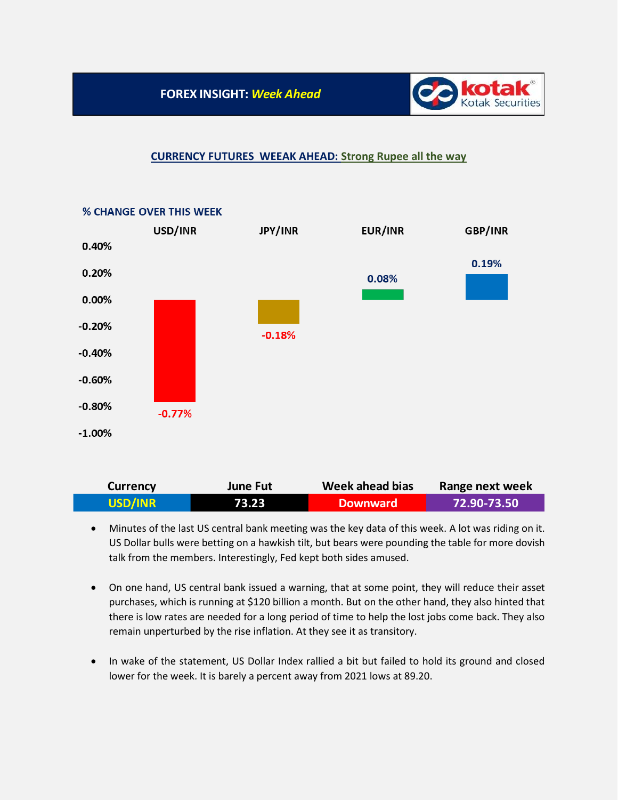

## **CURRENCY FUTURES WEEAK AHEAD: Strong Rupee all the way**



## **% CHANGE OVER THIS WEEK**

| <b>Currency</b> | June Fut | Week ahead bias | Range next week |
|-----------------|----------|-----------------|-----------------|
| USD/INR         | 73.23    | <b>Downward</b> | ا 72.90-73.50   |

- Minutes of the last US central bank meeting was the key data of this week. A lot was riding on it. US Dollar bulls were betting on a hawkish tilt, but bears were pounding the table for more dovish talk from the members. Interestingly, Fed kept both sides amused.
- On one hand, US central bank issued a warning, that at some point, they will reduce their asset purchases, which is running at \$120 billion a month. But on the other hand, they also hinted that there is low rates are needed for a long period of time to help the lost jobs come back. They also remain unperturbed by the rise inflation. At they see it as transitory.
- In wake of the statement, US Dollar Index rallied a bit but failed to hold its ground and closed lower for the week. It is barely a percent away from 2021 lows at 89.20.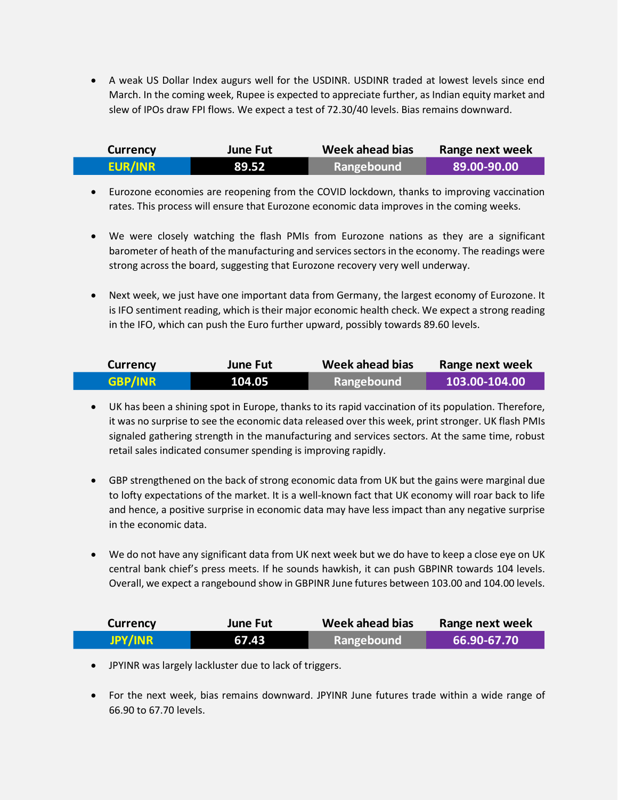• A weak US Dollar Index augurs well for the USDINR. USDINR traded at lowest levels since end March. In the coming week, Rupee is expected to appreciate further, as Indian equity market and slew of IPOs draw FPI flows. We expect a test of 72.30/40 levels. Bias remains downward.

| <b>Currency</b> | June Fut | Week ahead bias | Range next week |
|-----------------|----------|-----------------|-----------------|
| <b>EUR/INR</b>  | 89.52    | Rangebound      | 89.00-90.00     |

- Eurozone economies are reopening from the COVID lockdown, thanks to improving vaccination rates. This process will ensure that Eurozone economic data improves in the coming weeks.
- We were closely watching the flash PMIs from Eurozone nations as they are a significant barometer of heath of the manufacturing and services sectors in the economy. The readings were strong across the board, suggesting that Eurozone recovery very well underway.
- Next week, we just have one important data from Germany, the largest economy of Eurozone. It is IFO sentiment reading, which is their major economic health check. We expect a strong reading in the IFO, which can push the Euro further upward, possibly towards 89.60 levels.

| <b>Currency</b> | <b>June Fut</b> | Week ahead bias | Range next week |
|-----------------|-----------------|-----------------|-----------------|
| <b>GBP/INR</b>  | 104.05          | Rangebound      | 103.00-104.00   |

- UK has been a shining spot in Europe, thanks to its rapid vaccination of its population. Therefore, it was no surprise to see the economic data released over this week, print stronger. UK flash PMIs signaled gathering strength in the manufacturing and services sectors. At the same time, robust retail sales indicated consumer spending is improving rapidly.
- GBP strengthened on the back of strong economic data from UK but the gains were marginal due to lofty expectations of the market. It is a well-known fact that UK economy will roar back to life and hence, a positive surprise in economic data may have less impact than any negative surprise in the economic data.
- We do not have any significant data from UK next week but we do have to keep a close eye on UK central bank chief's press meets. If he sounds hawkish, it can push GBPINR towards 104 levels. Overall, we expect a rangebound show in GBPINR June futures between 103.00 and 104.00 levels.

| <b>Currency</b> | <b>June Fut</b> | Week ahead bias | Range next week |
|-----------------|-----------------|-----------------|-----------------|
| JPY/INR         | 67.43           | Rangebound      | L 66.90-67.70 \ |

- JPYINR was largely lackluster due to lack of triggers.
- For the next week, bias remains downward. JPYINR June futures trade within a wide range of 66.90 to 67.70 levels.